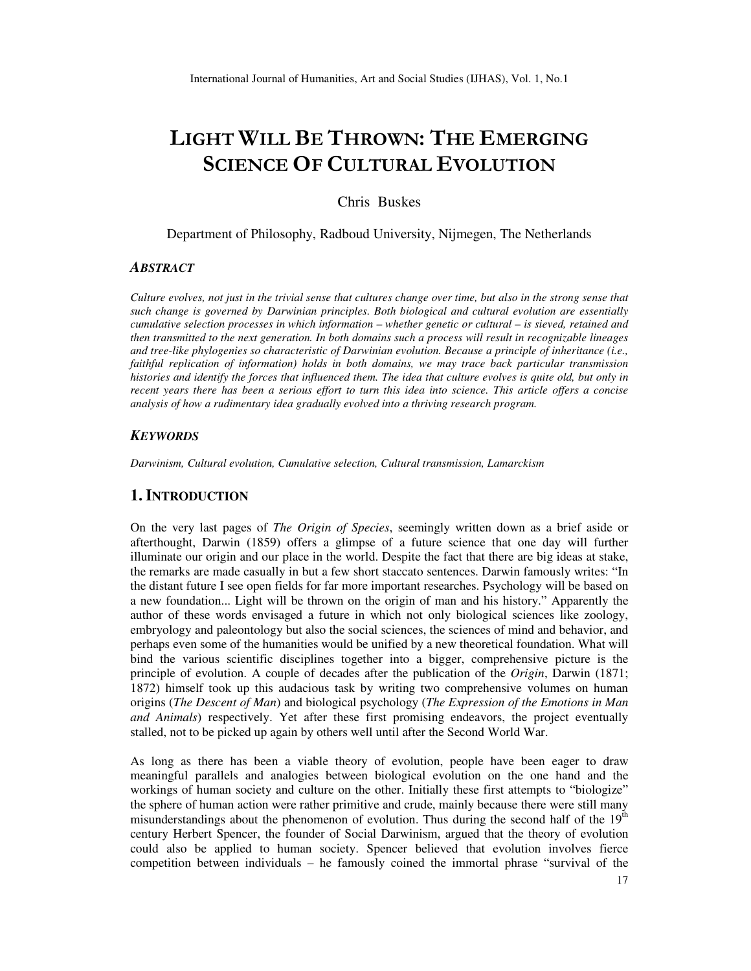# **LIGHT WILL BE THROWN: THE EMERGING SCIENCE OF CULTURAL EVOLUTION**

## Chris Buskes

Department of Philosophy, Radboud University, Nijmegen, The Netherlands

#### *ABSTRACT*

*Culture evolves, not just in the trivial sense that cultures change over time, but also in the strong sense that such change is governed by Darwinian principles. Both biological and cultural evolution are essentially cumulative selection processes in which information – whether genetic or cultural – is sieved, retained and then transmitted to the next generation. In both domains such a process will result in recognizable lineages and tree-like phylogenies so characteristic of Darwinian evolution. Because a principle of inheritance (i.e., faithful replication of information) holds in both domains, we may trace back particular transmission histories and identify the forces that influenced them. The idea that culture evolves is quite old, but only in recent years there has been a serious effort to turn this idea into science. This article offers a concise analysis of how a rudimentary idea gradually evolved into a thriving research program.*

#### *KEYWORDS*

*Darwinism, Cultural evolution, Cumulative selection, Cultural transmission, Lamarckism* 

#### **1. INTRODUCTION**

On the very last pages of *The Origin of Species*, seemingly written down as a brief aside or afterthought, Darwin (1859) offers a glimpse of a future science that one day will further illuminate our origin and our place in the world. Despite the fact that there are big ideas at stake, the remarks are made casually in but a few short staccato sentences. Darwin famously writes: "In the distant future I see open fields for far more important researches. Psychology will be based on a new foundation... Light will be thrown on the origin of man and his history." Apparently the author of these words envisaged a future in which not only biological sciences like zoology, embryology and paleontology but also the social sciences, the sciences of mind and behavior, and perhaps even some of the humanities would be unified by a new theoretical foundation. What will bind the various scientific disciplines together into a bigger, comprehensive picture is the principle of evolution. A couple of decades after the publication of the *Origin*, Darwin (1871; 1872) himself took up this audacious task by writing two comprehensive volumes on human origins (*The Descent of Man*) and biological psychology (*The Expression of the Emotions in Man and Animals*) respectively. Yet after these first promising endeavors, the project eventually stalled, not to be picked up again by others well until after the Second World War.

As long as there has been a viable theory of evolution, people have been eager to draw meaningful parallels and analogies between biological evolution on the one hand and the workings of human society and culture on the other. Initially these first attempts to "biologize" the sphere of human action were rather primitive and crude, mainly because there were still many misunderstandings about the phenomenon of evolution. Thus during the second half of the  $19<sup>th</sup>$ century Herbert Spencer, the founder of Social Darwinism, argued that the theory of evolution could also be applied to human society. Spencer believed that evolution involves fierce competition between individuals – he famously coined the immortal phrase "survival of the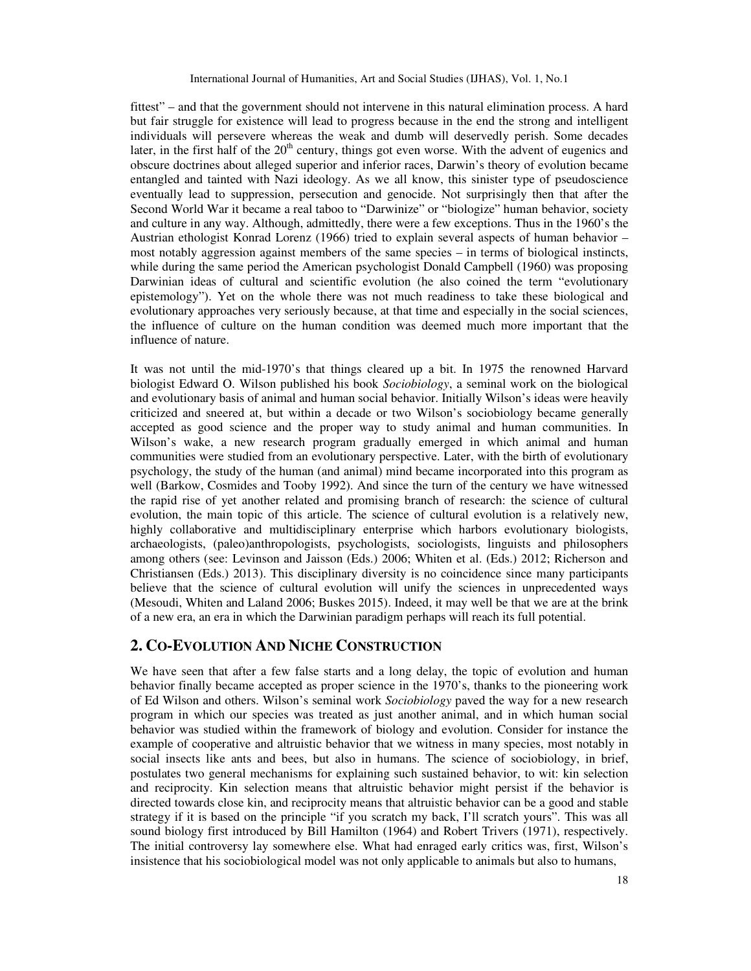fittest" – and that the government should not intervene in this natural elimination process. A hard but fair struggle for existence will lead to progress because in the end the strong and intelligent individuals will persevere whereas the weak and dumb will deservedly perish. Some decades later, in the first half of the  $20<sup>th</sup>$  century, things got even worse. With the advent of eugenics and obscure doctrines about alleged superior and inferior races, Darwin's theory of evolution became entangled and tainted with Nazi ideology. As we all know, this sinister type of pseudoscience eventually lead to suppression, persecution and genocide. Not surprisingly then that after the Second World War it became a real taboo to "Darwinize" or "biologize" human behavior, society and culture in any way. Although, admittedly, there were a few exceptions. Thus in the 1960's the Austrian ethologist Konrad Lorenz (1966) tried to explain several aspects of human behavior – most notably aggression against members of the same species – in terms of biological instincts, while during the same period the American psychologist Donald Campbell (1960) was proposing Darwinian ideas of cultural and scientific evolution (he also coined the term "evolutionary epistemology"). Yet on the whole there was not much readiness to take these biological and evolutionary approaches very seriously because, at that time and especially in the social sciences, the influence of culture on the human condition was deemed much more important that the influence of nature.

It was not until the mid-1970's that things cleared up a bit. In 1975 the renowned Harvard biologist Edward O. Wilson published his book *Sociobiology*, a seminal work on the biological and evolutionary basis of animal and human social behavior. Initially Wilson's ideas were heavily criticized and sneered at, but within a decade or two Wilson's sociobiology became generally accepted as good science and the proper way to study animal and human communities. In Wilson's wake, a new research program gradually emerged in which animal and human communities were studied from an evolutionary perspective. Later, with the birth of evolutionary psychology, the study of the human (and animal) mind became incorporated into this program as well (Barkow, Cosmides and Tooby 1992). And since the turn of the century we have witnessed the rapid rise of yet another related and promising branch of research: the science of cultural evolution, the main topic of this article. The science of cultural evolution is a relatively new, highly collaborative and multidisciplinary enterprise which harbors evolutionary biologists, archaeologists, (paleo)anthropologists, psychologists, sociologists, linguists and philosophers among others (see: Levinson and Jaisson (Eds.) 2006; Whiten et al. (Eds.) 2012; Richerson and Christiansen (Eds.) 2013). This disciplinary diversity is no coincidence since many participants believe that the science of cultural evolution will unify the sciences in unprecedented ways (Mesoudi, Whiten and Laland 2006; Buskes 2015). Indeed, it may well be that we are at the brink of a new era, an era in which the Darwinian paradigm perhaps will reach its full potential.

# **2. CO-EVOLUTION AND NICHE CONSTRUCTION**

We have seen that after a few false starts and a long delay, the topic of evolution and human behavior finally became accepted as proper science in the 1970's, thanks to the pioneering work of Ed Wilson and others. Wilson's seminal work *Sociobiology* paved the way for a new research program in which our species was treated as just another animal, and in which human social behavior was studied within the framework of biology and evolution. Consider for instance the example of cooperative and altruistic behavior that we witness in many species, most notably in social insects like ants and bees, but also in humans. The science of sociobiology, in brief, postulates two general mechanisms for explaining such sustained behavior, to wit: kin selection and reciprocity. Kin selection means that altruistic behavior might persist if the behavior is directed towards close kin, and reciprocity means that altruistic behavior can be a good and stable strategy if it is based on the principle "if you scratch my back, I'll scratch yours". This was all sound biology first introduced by Bill Hamilton (1964) and Robert Trivers (1971), respectively. The initial controversy lay somewhere else. What had enraged early critics was, first, Wilson's insistence that his sociobiological model was not only applicable to animals but also to humans,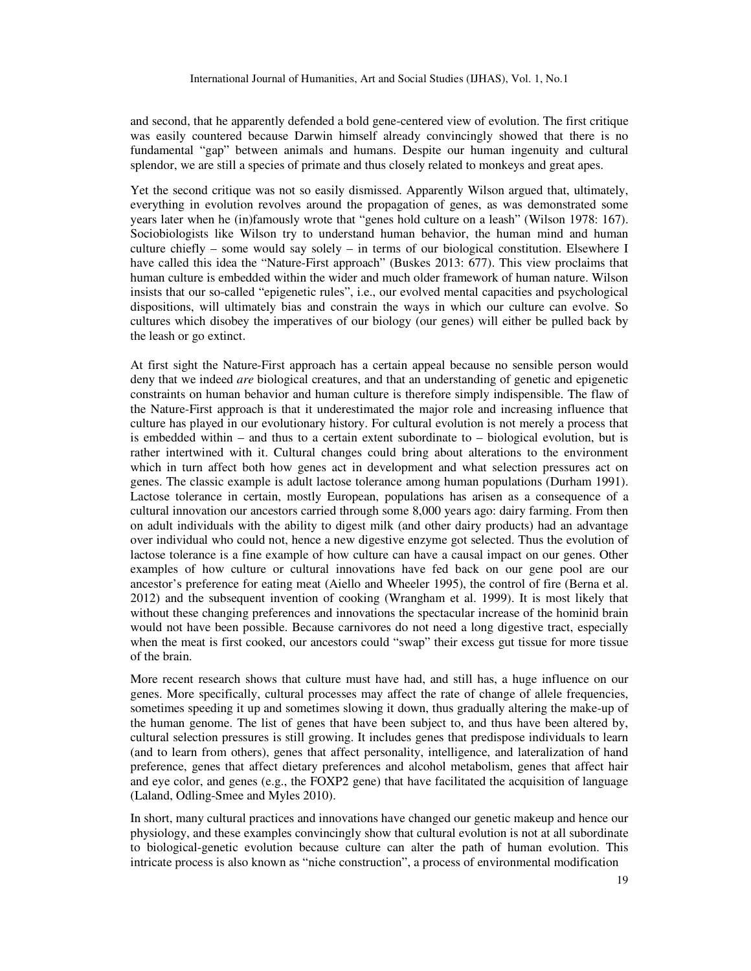and second, that he apparently defended a bold gene-centered view of evolution. The first critique was easily countered because Darwin himself already convincingly showed that there is no fundamental "gap" between animals and humans. Despite our human ingenuity and cultural splendor, we are still a species of primate and thus closely related to monkeys and great apes.

Yet the second critique was not so easily dismissed. Apparently Wilson argued that, ultimately, everything in evolution revolves around the propagation of genes, as was demonstrated some years later when he (in)famously wrote that "genes hold culture on a leash" (Wilson 1978: 167). Sociobiologists like Wilson try to understand human behavior, the human mind and human culture chiefly – some would say solely – in terms of our biological constitution. Elsewhere I have called this idea the "Nature-First approach" (Buskes 2013: 677). This view proclaims that human culture is embedded within the wider and much older framework of human nature. Wilson insists that our so-called "epigenetic rules", i.e., our evolved mental capacities and psychological dispositions, will ultimately bias and constrain the ways in which our culture can evolve. So cultures which disobey the imperatives of our biology (our genes) will either be pulled back by the leash or go extinct.

At first sight the Nature-First approach has a certain appeal because no sensible person would deny that we indeed *are* biological creatures, and that an understanding of genetic and epigenetic constraints on human behavior and human culture is therefore simply indispensible. The flaw of the Nature-First approach is that it underestimated the major role and increasing influence that culture has played in our evolutionary history. For cultural evolution is not merely a process that is embedded within – and thus to a certain extent subordinate to – biological evolution, but is rather intertwined with it. Cultural changes could bring about alterations to the environment which in turn affect both how genes act in development and what selection pressures act on genes. The classic example is adult lactose tolerance among human populations (Durham 1991). Lactose tolerance in certain, mostly European, populations has arisen as a consequence of a cultural innovation our ancestors carried through some 8,000 years ago: dairy farming. From then on adult individuals with the ability to digest milk (and other dairy products) had an advantage over individual who could not, hence a new digestive enzyme got selected. Thus the evolution of lactose tolerance is a fine example of how culture can have a causal impact on our genes. Other examples of how culture or cultural innovations have fed back on our gene pool are our ancestor's preference for eating meat (Aiello and Wheeler 1995), the control of fire (Berna et al. 2012) and the subsequent invention of cooking (Wrangham et al. 1999). It is most likely that without these changing preferences and innovations the spectacular increase of the hominid brain would not have been possible. Because carnivores do not need a long digestive tract, especially when the meat is first cooked, our ancestors could "swap" their excess gut tissue for more tissue of the brain.

More recent research shows that culture must have had, and still has, a huge influence on our genes. More specifically, cultural processes may affect the rate of change of allele frequencies, sometimes speeding it up and sometimes slowing it down, thus gradually altering the make-up of the human genome. The list of genes that have been subject to, and thus have been altered by, cultural selection pressures is still growing. It includes genes that predispose individuals to learn (and to learn from others), genes that affect personality, intelligence, and lateralization of hand preference, genes that affect dietary preferences and alcohol metabolism, genes that affect hair and eye color, and genes (e.g., the FOXP2 gene) that have facilitated the acquisition of language (Laland, Odling-Smee and Myles 2010).

In short, many cultural practices and innovations have changed our genetic makeup and hence our physiology, and these examples convincingly show that cultural evolution is not at all subordinate to biological-genetic evolution because culture can alter the path of human evolution. This intricate process is also known as "niche construction", a process of environmental modification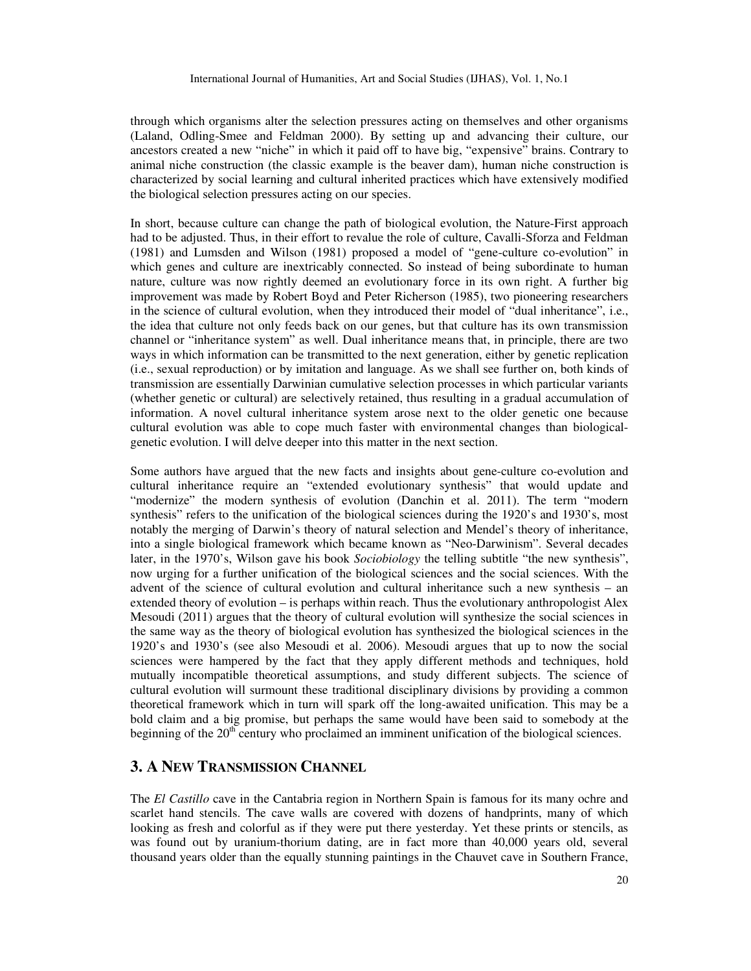through which organisms alter the selection pressures acting on themselves and other organisms (Laland, Odling-Smee and Feldman 2000). By setting up and advancing their culture, our ancestors created a new "niche" in which it paid off to have big, "expensive" brains. Contrary to animal niche construction (the classic example is the beaver dam), human niche construction is characterized by social learning and cultural inherited practices which have extensively modified the biological selection pressures acting on our species.

In short, because culture can change the path of biological evolution, the Nature-First approach had to be adjusted. Thus, in their effort to revalue the role of culture, Cavalli-Sforza and Feldman (1981) and Lumsden and Wilson (1981) proposed a model of "gene-culture co-evolution" in which genes and culture are inextricably connected. So instead of being subordinate to human nature, culture was now rightly deemed an evolutionary force in its own right. A further big improvement was made by Robert Boyd and Peter Richerson (1985), two pioneering researchers in the science of cultural evolution, when they introduced their model of "dual inheritance", i.e., the idea that culture not only feeds back on our genes, but that culture has its own transmission channel or "inheritance system" as well. Dual inheritance means that, in principle, there are two ways in which information can be transmitted to the next generation, either by genetic replication (i.e., sexual reproduction) or by imitation and language. As we shall see further on, both kinds of transmission are essentially Darwinian cumulative selection processes in which particular variants (whether genetic or cultural) are selectively retained, thus resulting in a gradual accumulation of information. A novel cultural inheritance system arose next to the older genetic one because cultural evolution was able to cope much faster with environmental changes than biologicalgenetic evolution. I will delve deeper into this matter in the next section.

Some authors have argued that the new facts and insights about gene-culture co-evolution and cultural inheritance require an "extended evolutionary synthesis" that would update and "modernize" the modern synthesis of evolution (Danchin et al. 2011). The term "modern synthesis" refers to the unification of the biological sciences during the 1920's and 1930's, most notably the merging of Darwin's theory of natural selection and Mendel's theory of inheritance, into a single biological framework which became known as "Neo-Darwinism". Several decades later, in the 1970's, Wilson gave his book *Sociobiology* the telling subtitle "the new synthesis", now urging for a further unification of the biological sciences and the social sciences. With the advent of the science of cultural evolution and cultural inheritance such a new synthesis – an extended theory of evolution – is perhaps within reach. Thus the evolutionary anthropologist Alex Mesoudi (2011) argues that the theory of cultural evolution will synthesize the social sciences in the same way as the theory of biological evolution has synthesized the biological sciences in the 1920's and 1930's (see also Mesoudi et al. 2006). Mesoudi argues that up to now the social sciences were hampered by the fact that they apply different methods and techniques, hold mutually incompatible theoretical assumptions, and study different subjects. The science of cultural evolution will surmount these traditional disciplinary divisions by providing a common theoretical framework which in turn will spark off the long-awaited unification. This may be a bold claim and a big promise, but perhaps the same would have been said to somebody at the beginning of the  $20<sup>th</sup>$  century who proclaimed an imminent unification of the biological sciences.

## **3. A NEW TRANSMISSION CHANNEL**

The *El Castillo* cave in the Cantabria region in Northern Spain is famous for its many ochre and scarlet hand stencils. The cave walls are covered with dozens of handprints, many of which looking as fresh and colorful as if they were put there yesterday. Yet these prints or stencils, as was found out by uranium-thorium dating, are in fact more than 40,000 years old, several thousand years older than the equally stunning paintings in the Chauvet cave in Southern France,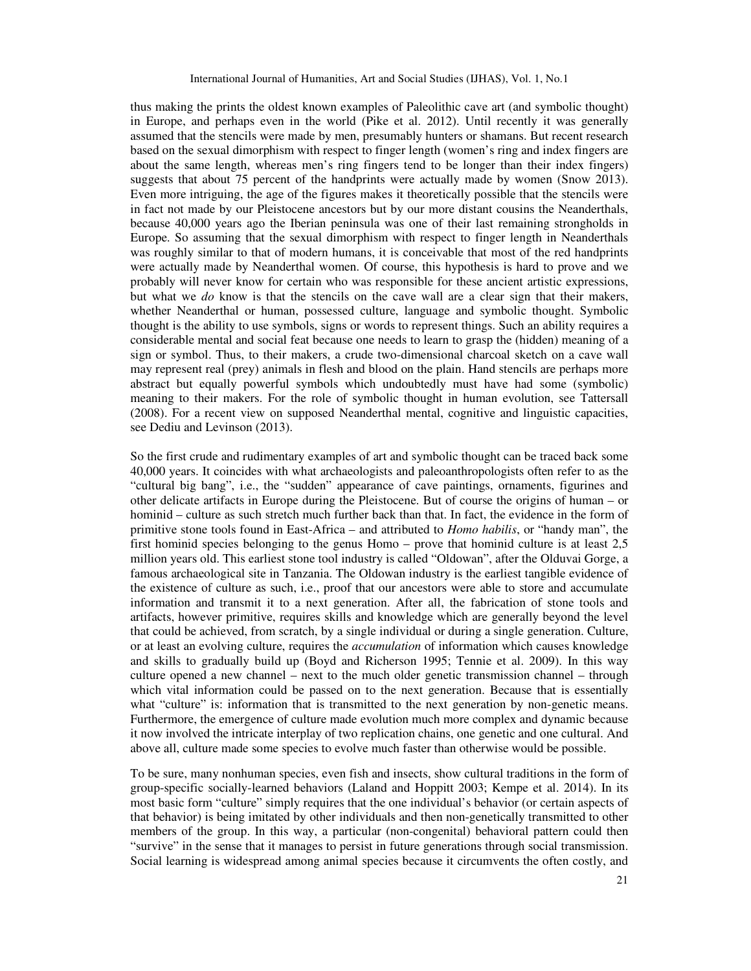thus making the prints the oldest known examples of Paleolithic cave art (and symbolic thought) in Europe, and perhaps even in the world (Pike et al. 2012). Until recently it was generally assumed that the stencils were made by men, presumably hunters or shamans. But recent research based on the sexual dimorphism with respect to finger length (women's ring and index fingers are about the same length, whereas men's ring fingers tend to be longer than their index fingers) suggests that about 75 percent of the handprints were actually made by women (Snow 2013). Even more intriguing, the age of the figures makes it theoretically possible that the stencils were in fact not made by our Pleistocene ancestors but by our more distant cousins the Neanderthals, because 40,000 years ago the Iberian peninsula was one of their last remaining strongholds in Europe. So assuming that the sexual dimorphism with respect to finger length in Neanderthals was roughly similar to that of modern humans, it is conceivable that most of the red handprints were actually made by Neanderthal women. Of course, this hypothesis is hard to prove and we probably will never know for certain who was responsible for these ancient artistic expressions, but what we *do* know is that the stencils on the cave wall are a clear sign that their makers, whether Neanderthal or human, possessed culture, language and symbolic thought. Symbolic thought is the ability to use symbols, signs or words to represent things. Such an ability requires a considerable mental and social feat because one needs to learn to grasp the (hidden) meaning of a sign or symbol. Thus, to their makers, a crude two-dimensional charcoal sketch on a cave wall may represent real (prey) animals in flesh and blood on the plain. Hand stencils are perhaps more abstract but equally powerful symbols which undoubtedly must have had some (symbolic) meaning to their makers. For the role of symbolic thought in human evolution, see Tattersall (2008). For a recent view on supposed Neanderthal mental, cognitive and linguistic capacities, see Dediu and Levinson (2013).

So the first crude and rudimentary examples of art and symbolic thought can be traced back some 40,000 years. It coincides with what archaeologists and paleoanthropologists often refer to as the "cultural big bang", i.e., the "sudden" appearance of cave paintings, ornaments, figurines and other delicate artifacts in Europe during the Pleistocene. But of course the origins of human – or hominid – culture as such stretch much further back than that. In fact, the evidence in the form of primitive stone tools found in East-Africa – and attributed to *Homo habilis*, or "handy man", the first hominid species belonging to the genus Homo – prove that hominid culture is at least 2,5 million years old. This earliest stone tool industry is called "Oldowan", after the Olduvai Gorge, a famous archaeological site in Tanzania. The Oldowan industry is the earliest tangible evidence of the existence of culture as such, i.e., proof that our ancestors were able to store and accumulate information and transmit it to a next generation. After all, the fabrication of stone tools and artifacts, however primitive, requires skills and knowledge which are generally beyond the level that could be achieved, from scratch, by a single individual or during a single generation. Culture, or at least an evolving culture, requires the *accumulation* of information which causes knowledge and skills to gradually build up (Boyd and Richerson 1995; Tennie et al. 2009). In this way culture opened a new channel – next to the much older genetic transmission channel – through which vital information could be passed on to the next generation. Because that is essentially what "culture" is: information that is transmitted to the next generation by non-genetic means. Furthermore, the emergence of culture made evolution much more complex and dynamic because it now involved the intricate interplay of two replication chains, one genetic and one cultural. And above all, culture made some species to evolve much faster than otherwise would be possible.

To be sure, many nonhuman species, even fish and insects, show cultural traditions in the form of group-specific socially-learned behaviors (Laland and Hoppitt 2003; Kempe et al. 2014). In its most basic form "culture" simply requires that the one individual's behavior (or certain aspects of that behavior) is being imitated by other individuals and then non-genetically transmitted to other members of the group. In this way, a particular (non-congenital) behavioral pattern could then "survive" in the sense that it manages to persist in future generations through social transmission. Social learning is widespread among animal species because it circumvents the often costly, and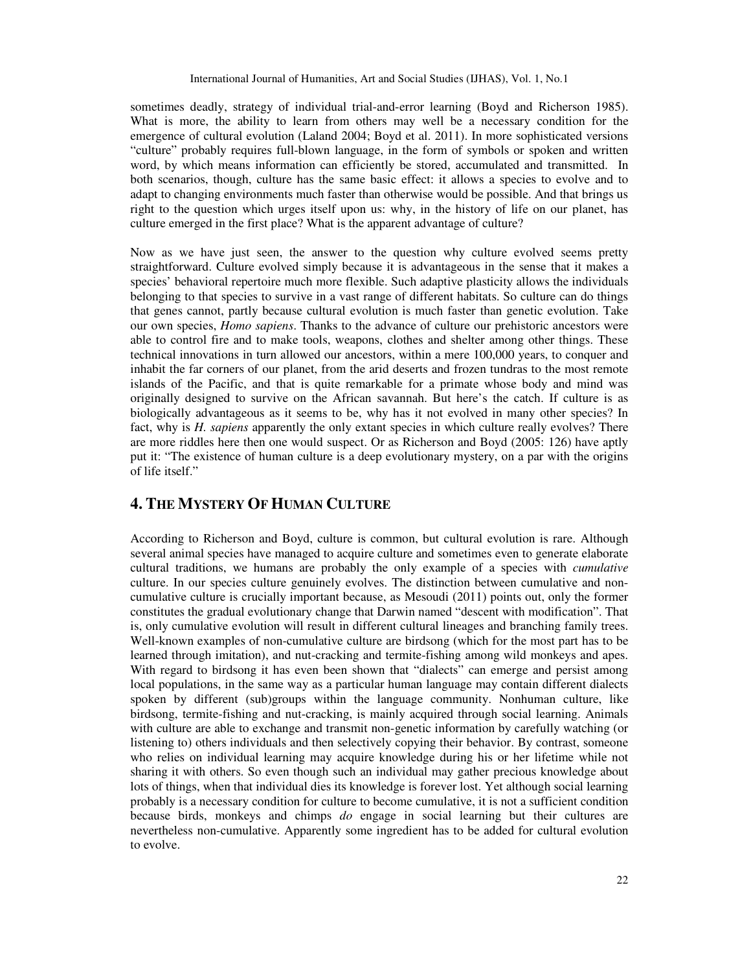sometimes deadly, strategy of individual trial-and-error learning (Boyd and Richerson 1985). What is more, the ability to learn from others may well be a necessary condition for the emergence of cultural evolution (Laland 2004; Boyd et al. 2011). In more sophisticated versions "culture" probably requires full-blown language, in the form of symbols or spoken and written word, by which means information can efficiently be stored, accumulated and transmitted. In both scenarios, though, culture has the same basic effect: it allows a species to evolve and to adapt to changing environments much faster than otherwise would be possible. And that brings us right to the question which urges itself upon us: why, in the history of life on our planet, has culture emerged in the first place? What is the apparent advantage of culture?

Now as we have just seen, the answer to the question why culture evolved seems pretty straightforward. Culture evolved simply because it is advantageous in the sense that it makes a species' behavioral repertoire much more flexible. Such adaptive plasticity allows the individuals belonging to that species to survive in a vast range of different habitats. So culture can do things that genes cannot, partly because cultural evolution is much faster than genetic evolution. Take our own species, *Homo sapiens*. Thanks to the advance of culture our prehistoric ancestors were able to control fire and to make tools, weapons, clothes and shelter among other things. These technical innovations in turn allowed our ancestors, within a mere 100,000 years, to conquer and inhabit the far corners of our planet, from the arid deserts and frozen tundras to the most remote islands of the Pacific, and that is quite remarkable for a primate whose body and mind was originally designed to survive on the African savannah. But here's the catch. If culture is as biologically advantageous as it seems to be, why has it not evolved in many other species? In fact, why is *H. sapiens* apparently the only extant species in which culture really evolves? There are more riddles here then one would suspect. Or as Richerson and Boyd (2005: 126) have aptly put it: "The existence of human culture is a deep evolutionary mystery, on a par with the origins of life itself."

# **4. THE MYSTERY OF HUMAN CULTURE**

According to Richerson and Boyd, culture is common, but cultural evolution is rare. Although several animal species have managed to acquire culture and sometimes even to generate elaborate cultural traditions, we humans are probably the only example of a species with *cumulative* culture. In our species culture genuinely evolves. The distinction between cumulative and noncumulative culture is crucially important because, as Mesoudi (2011) points out, only the former constitutes the gradual evolutionary change that Darwin named "descent with modification". That is, only cumulative evolution will result in different cultural lineages and branching family trees. Well-known examples of non-cumulative culture are birdsong (which for the most part has to be learned through imitation), and nut-cracking and termite-fishing among wild monkeys and apes. With regard to birdsong it has even been shown that "dialects" can emerge and persist among local populations, in the same way as a particular human language may contain different dialects spoken by different (sub)groups within the language community. Nonhuman culture, like birdsong, termite-fishing and nut-cracking, is mainly acquired through social learning. Animals with culture are able to exchange and transmit non-genetic information by carefully watching (or listening to) others individuals and then selectively copying their behavior. By contrast, someone who relies on individual learning may acquire knowledge during his or her lifetime while not sharing it with others. So even though such an individual may gather precious knowledge about lots of things, when that individual dies its knowledge is forever lost. Yet although social learning probably is a necessary condition for culture to become cumulative, it is not a sufficient condition because birds, monkeys and chimps *do* engage in social learning but their cultures are nevertheless non-cumulative. Apparently some ingredient has to be added for cultural evolution to evolve.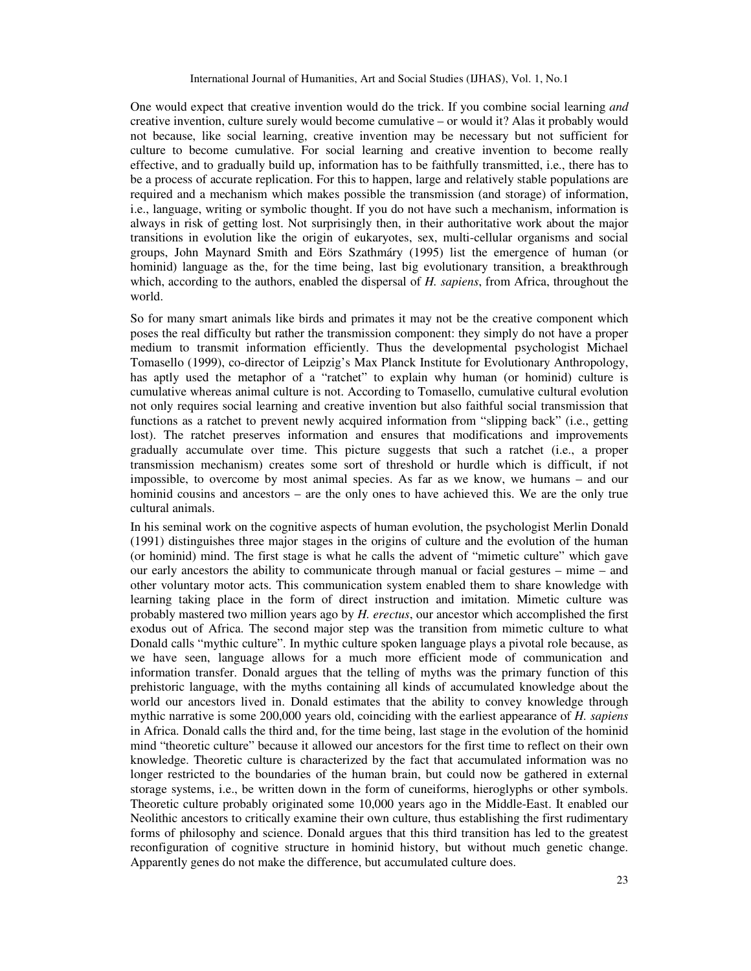One would expect that creative invention would do the trick. If you combine social learning *and* creative invention, culture surely would become cumulative – or would it? Alas it probably would not because, like social learning, creative invention may be necessary but not sufficient for culture to become cumulative. For social learning and creative invention to become really effective, and to gradually build up, information has to be faithfully transmitted, i.e., there has to be a process of accurate replication. For this to happen, large and relatively stable populations are required and a mechanism which makes possible the transmission (and storage) of information, i.e., language, writing or symbolic thought. If you do not have such a mechanism, information is always in risk of getting lost. Not surprisingly then, in their authoritative work about the major transitions in evolution like the origin of eukaryotes, sex, multi-cellular organisms and social groups, John Maynard Smith and Eörs Szathmáry (1995) list the emergence of human (or hominid) language as the, for the time being, last big evolutionary transition, a breakthrough which, according to the authors, enabled the dispersal of *H. sapiens*, from Africa, throughout the world.

So for many smart animals like birds and primates it may not be the creative component which poses the real difficulty but rather the transmission component: they simply do not have a proper medium to transmit information efficiently. Thus the developmental psychologist Michael Tomasello (1999), co-director of Leipzig's Max Planck Institute for Evolutionary Anthropology, has aptly used the metaphor of a "ratchet" to explain why human (or hominid) culture is cumulative whereas animal culture is not. According to Tomasello, cumulative cultural evolution not only requires social learning and creative invention but also faithful social transmission that functions as a ratchet to prevent newly acquired information from "slipping back" (i.e., getting lost). The ratchet preserves information and ensures that modifications and improvements gradually accumulate over time. This picture suggests that such a ratchet (i.e., a proper transmission mechanism) creates some sort of threshold or hurdle which is difficult, if not impossible, to overcome by most animal species. As far as we know, we humans – and our hominid cousins and ancestors – are the only ones to have achieved this. We are the only true cultural animals.

In his seminal work on the cognitive aspects of human evolution, the psychologist Merlin Donald (1991) distinguishes three major stages in the origins of culture and the evolution of the human (or hominid) mind. The first stage is what he calls the advent of "mimetic culture" which gave our early ancestors the ability to communicate through manual or facial gestures – mime – and other voluntary motor acts. This communication system enabled them to share knowledge with learning taking place in the form of direct instruction and imitation. Mimetic culture was probably mastered two million years ago by *H. erectus*, our ancestor which accomplished the first exodus out of Africa. The second major step was the transition from mimetic culture to what Donald calls "mythic culture". In mythic culture spoken language plays a pivotal role because, as we have seen, language allows for a much more efficient mode of communication and information transfer. Donald argues that the telling of myths was the primary function of this prehistoric language, with the myths containing all kinds of accumulated knowledge about the world our ancestors lived in. Donald estimates that the ability to convey knowledge through mythic narrative is some 200,000 years old, coinciding with the earliest appearance of *H. sapiens* in Africa. Donald calls the third and, for the time being, last stage in the evolution of the hominid mind "theoretic culture" because it allowed our ancestors for the first time to reflect on their own knowledge. Theoretic culture is characterized by the fact that accumulated information was no longer restricted to the boundaries of the human brain, but could now be gathered in external storage systems, i.e., be written down in the form of cuneiforms, hieroglyphs or other symbols. Theoretic culture probably originated some 10,000 years ago in the Middle-East. It enabled our Neolithic ancestors to critically examine their own culture, thus establishing the first rudimentary forms of philosophy and science. Donald argues that this third transition has led to the greatest reconfiguration of cognitive structure in hominid history, but without much genetic change. Apparently genes do not make the difference, but accumulated culture does.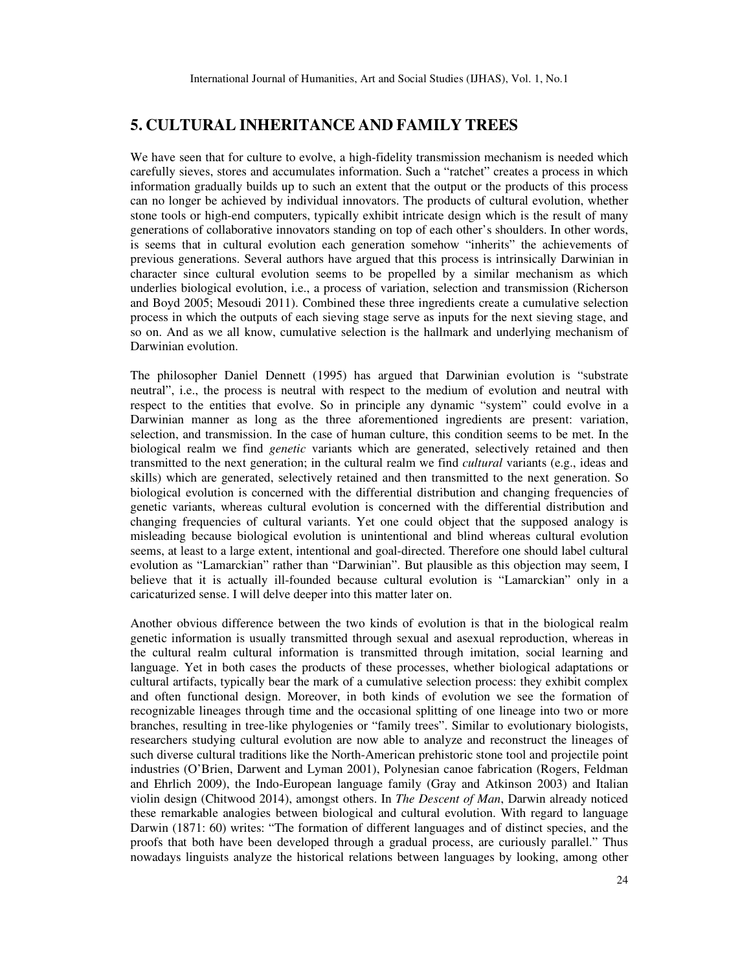# **5. CULTURAL INHERITANCE AND FAMILY TREES**

We have seen that for culture to evolve, a high-fidelity transmission mechanism is needed which carefully sieves, stores and accumulates information. Such a "ratchet" creates a process in which information gradually builds up to such an extent that the output or the products of this process can no longer be achieved by individual innovators. The products of cultural evolution, whether stone tools or high-end computers, typically exhibit intricate design which is the result of many generations of collaborative innovators standing on top of each other's shoulders. In other words, is seems that in cultural evolution each generation somehow "inherits" the achievements of previous generations. Several authors have argued that this process is intrinsically Darwinian in character since cultural evolution seems to be propelled by a similar mechanism as which underlies biological evolution, i.e., a process of variation, selection and transmission (Richerson and Boyd 2005; Mesoudi 2011). Combined these three ingredients create a cumulative selection process in which the outputs of each sieving stage serve as inputs for the next sieving stage, and so on. And as we all know, cumulative selection is the hallmark and underlying mechanism of Darwinian evolution.

The philosopher Daniel Dennett (1995) has argued that Darwinian evolution is "substrate neutral", i.e., the process is neutral with respect to the medium of evolution and neutral with respect to the entities that evolve. So in principle any dynamic "system" could evolve in a Darwinian manner as long as the three aforementioned ingredients are present: variation, selection, and transmission. In the case of human culture, this condition seems to be met. In the biological realm we find *genetic* variants which are generated, selectively retained and then transmitted to the next generation; in the cultural realm we find *cultural* variants (e.g., ideas and skills) which are generated, selectively retained and then transmitted to the next generation. So biological evolution is concerned with the differential distribution and changing frequencies of genetic variants, whereas cultural evolution is concerned with the differential distribution and changing frequencies of cultural variants. Yet one could object that the supposed analogy is misleading because biological evolution is unintentional and blind whereas cultural evolution seems, at least to a large extent, intentional and goal-directed. Therefore one should label cultural evolution as "Lamarckian" rather than "Darwinian". But plausible as this objection may seem, I believe that it is actually ill-founded because cultural evolution is "Lamarckian" only in a caricaturized sense. I will delve deeper into this matter later on.

Another obvious difference between the two kinds of evolution is that in the biological realm genetic information is usually transmitted through sexual and asexual reproduction, whereas in the cultural realm cultural information is transmitted through imitation, social learning and language. Yet in both cases the products of these processes, whether biological adaptations or cultural artifacts, typically bear the mark of a cumulative selection process: they exhibit complex and often functional design. Moreover, in both kinds of evolution we see the formation of recognizable lineages through time and the occasional splitting of one lineage into two or more branches, resulting in tree-like phylogenies or "family trees". Similar to evolutionary biologists, researchers studying cultural evolution are now able to analyze and reconstruct the lineages of such diverse cultural traditions like the North-American prehistoric stone tool and projectile point industries (O'Brien, Darwent and Lyman 2001), Polynesian canoe fabrication (Rogers, Feldman and Ehrlich 2009), the Indo-European language family (Gray and Atkinson 2003) and Italian violin design (Chitwood 2014), amongst others. In *The Descent of Man*, Darwin already noticed these remarkable analogies between biological and cultural evolution. With regard to language Darwin (1871: 60) writes: "The formation of different languages and of distinct species, and the proofs that both have been developed through a gradual process, are curiously parallel." Thus nowadays linguists analyze the historical relations between languages by looking, among other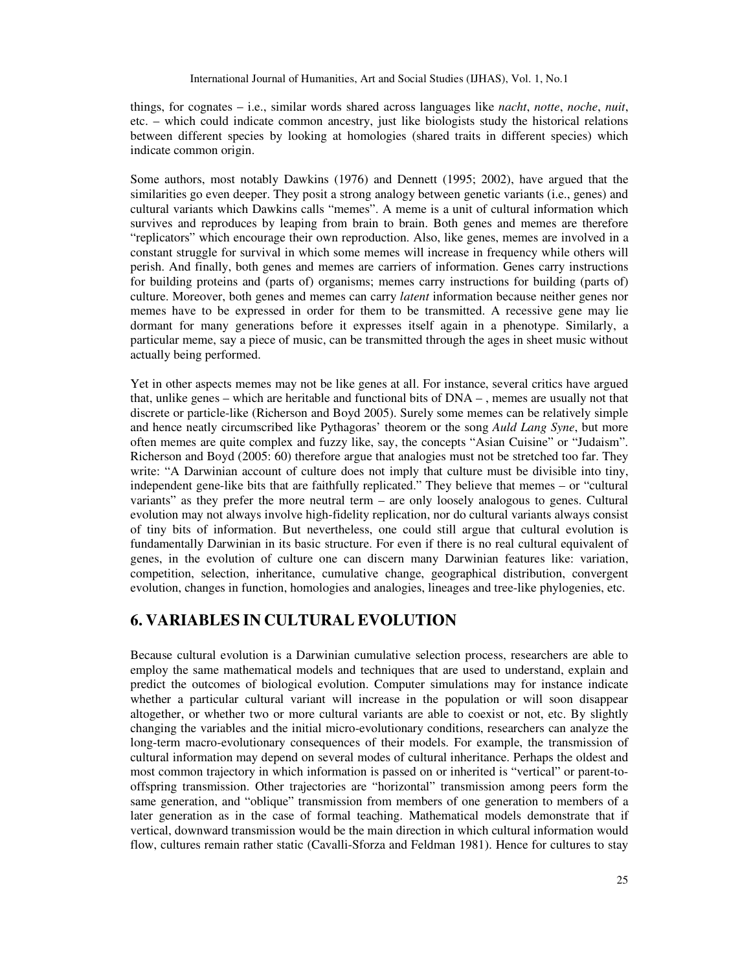things, for cognates – i.e., similar words shared across languages like *nacht*, *notte*, *noche*, *nuit*, etc. – which could indicate common ancestry, just like biologists study the historical relations between different species by looking at homologies (shared traits in different species) which indicate common origin.

Some authors, most notably Dawkins (1976) and Dennett (1995; 2002), have argued that the similarities go even deeper. They posit a strong analogy between genetic variants (i.e., genes) and cultural variants which Dawkins calls "memes". A meme is a unit of cultural information which survives and reproduces by leaping from brain to brain. Both genes and memes are therefore "replicators" which encourage their own reproduction. Also, like genes, memes are involved in a constant struggle for survival in which some memes will increase in frequency while others will perish. And finally, both genes and memes are carriers of information. Genes carry instructions for building proteins and (parts of) organisms; memes carry instructions for building (parts of) culture. Moreover, both genes and memes can carry *latent* information because neither genes nor memes have to be expressed in order for them to be transmitted. A recessive gene may lie dormant for many generations before it expresses itself again in a phenotype. Similarly, a particular meme, say a piece of music, can be transmitted through the ages in sheet music without actually being performed.

Yet in other aspects memes may not be like genes at all. For instance, several critics have argued that, unlike genes – which are heritable and functional bits of DNA – , memes are usually not that discrete or particle-like (Richerson and Boyd 2005). Surely some memes can be relatively simple and hence neatly circumscribed like Pythagoras' theorem or the song *Auld Lang Syne*, but more often memes are quite complex and fuzzy like, say, the concepts "Asian Cuisine" or "Judaism". Richerson and Boyd (2005: 60) therefore argue that analogies must not be stretched too far. They write: "A Darwinian account of culture does not imply that culture must be divisible into tiny, independent gene-like bits that are faithfully replicated." They believe that memes – or "cultural variants" as they prefer the more neutral term – are only loosely analogous to genes. Cultural evolution may not always involve high-fidelity replication, nor do cultural variants always consist of tiny bits of information. But nevertheless, one could still argue that cultural evolution is fundamentally Darwinian in its basic structure. For even if there is no real cultural equivalent of genes, in the evolution of culture one can discern many Darwinian features like: variation, competition, selection, inheritance, cumulative change, geographical distribution, convergent evolution, changes in function, homologies and analogies, lineages and tree-like phylogenies, etc.

# **6. VARIABLES IN CULTURAL EVOLUTION**

Because cultural evolution is a Darwinian cumulative selection process, researchers are able to employ the same mathematical models and techniques that are used to understand, explain and predict the outcomes of biological evolution. Computer simulations may for instance indicate whether a particular cultural variant will increase in the population or will soon disappear altogether, or whether two or more cultural variants are able to coexist or not, etc. By slightly changing the variables and the initial micro-evolutionary conditions, researchers can analyze the long-term macro-evolutionary consequences of their models. For example, the transmission of cultural information may depend on several modes of cultural inheritance. Perhaps the oldest and most common trajectory in which information is passed on or inherited is "vertical" or parent-tooffspring transmission. Other trajectories are "horizontal" transmission among peers form the same generation, and "oblique" transmission from members of one generation to members of a later generation as in the case of formal teaching. Mathematical models demonstrate that if vertical, downward transmission would be the main direction in which cultural information would flow, cultures remain rather static (Cavalli-Sforza and Feldman 1981). Hence for cultures to stay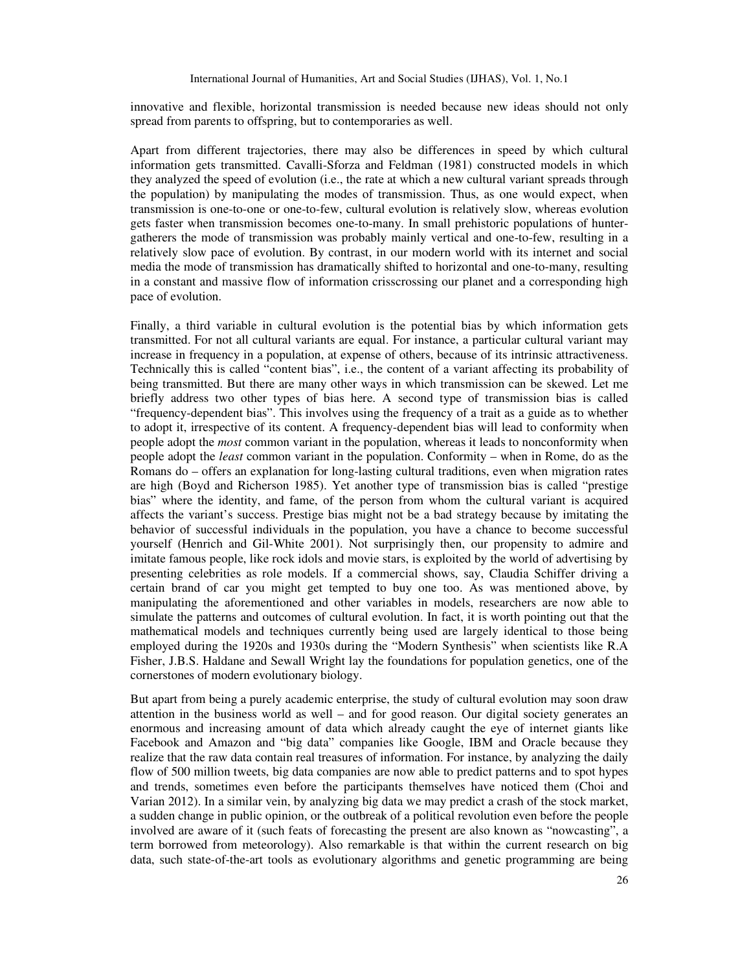innovative and flexible, horizontal transmission is needed because new ideas should not only spread from parents to offspring, but to contemporaries as well.

Apart from different trajectories, there may also be differences in speed by which cultural information gets transmitted. Cavalli-Sforza and Feldman (1981) constructed models in which they analyzed the speed of evolution (i.e., the rate at which a new cultural variant spreads through the population) by manipulating the modes of transmission. Thus, as one would expect, when transmission is one-to-one or one-to-few, cultural evolution is relatively slow, whereas evolution gets faster when transmission becomes one-to-many. In small prehistoric populations of huntergatherers the mode of transmission was probably mainly vertical and one-to-few, resulting in a relatively slow pace of evolution. By contrast, in our modern world with its internet and social media the mode of transmission has dramatically shifted to horizontal and one-to-many, resulting in a constant and massive flow of information crisscrossing our planet and a corresponding high pace of evolution.

Finally, a third variable in cultural evolution is the potential bias by which information gets transmitted. For not all cultural variants are equal. For instance, a particular cultural variant may increase in frequency in a population, at expense of others, because of its intrinsic attractiveness. Technically this is called "content bias", i.e., the content of a variant affecting its probability of being transmitted. But there are many other ways in which transmission can be skewed. Let me briefly address two other types of bias here. A second type of transmission bias is called "frequency-dependent bias". This involves using the frequency of a trait as a guide as to whether to adopt it, irrespective of its content. A frequency-dependent bias will lead to conformity when people adopt the *most* common variant in the population, whereas it leads to nonconformity when people adopt the *least* common variant in the population. Conformity – when in Rome, do as the Romans do – offers an explanation for long-lasting cultural traditions, even when migration rates are high (Boyd and Richerson 1985). Yet another type of transmission bias is called "prestige bias" where the identity, and fame, of the person from whom the cultural variant is acquired affects the variant's success. Prestige bias might not be a bad strategy because by imitating the behavior of successful individuals in the population, you have a chance to become successful yourself (Henrich and Gil-White 2001). Not surprisingly then, our propensity to admire and imitate famous people, like rock idols and movie stars, is exploited by the world of advertising by presenting celebrities as role models. If a commercial shows, say, Claudia Schiffer driving a certain brand of car you might get tempted to buy one too. As was mentioned above, by manipulating the aforementioned and other variables in models, researchers are now able to simulate the patterns and outcomes of cultural evolution. In fact, it is worth pointing out that the mathematical models and techniques currently being used are largely identical to those being employed during the 1920s and 1930s during the "Modern Synthesis" when scientists like R.A Fisher, J.B.S. Haldane and Sewall Wright lay the foundations for population genetics, one of the cornerstones of modern evolutionary biology.

But apart from being a purely academic enterprise, the study of cultural evolution may soon draw attention in the business world as well – and for good reason. Our digital society generates an enormous and increasing amount of data which already caught the eye of internet giants like Facebook and Amazon and "big data" companies like Google, IBM and Oracle because they realize that the raw data contain real treasures of information. For instance, by analyzing the daily flow of 500 million tweets, big data companies are now able to predict patterns and to spot hypes and trends, sometimes even before the participants themselves have noticed them (Choi and Varian 2012). In a similar vein, by analyzing big data we may predict a crash of the stock market, a sudden change in public opinion, or the outbreak of a political revolution even before the people involved are aware of it (such feats of forecasting the present are also known as "nowcasting", a term borrowed from meteorology). Also remarkable is that within the current research on big data, such state-of-the-art tools as evolutionary algorithms and genetic programming are being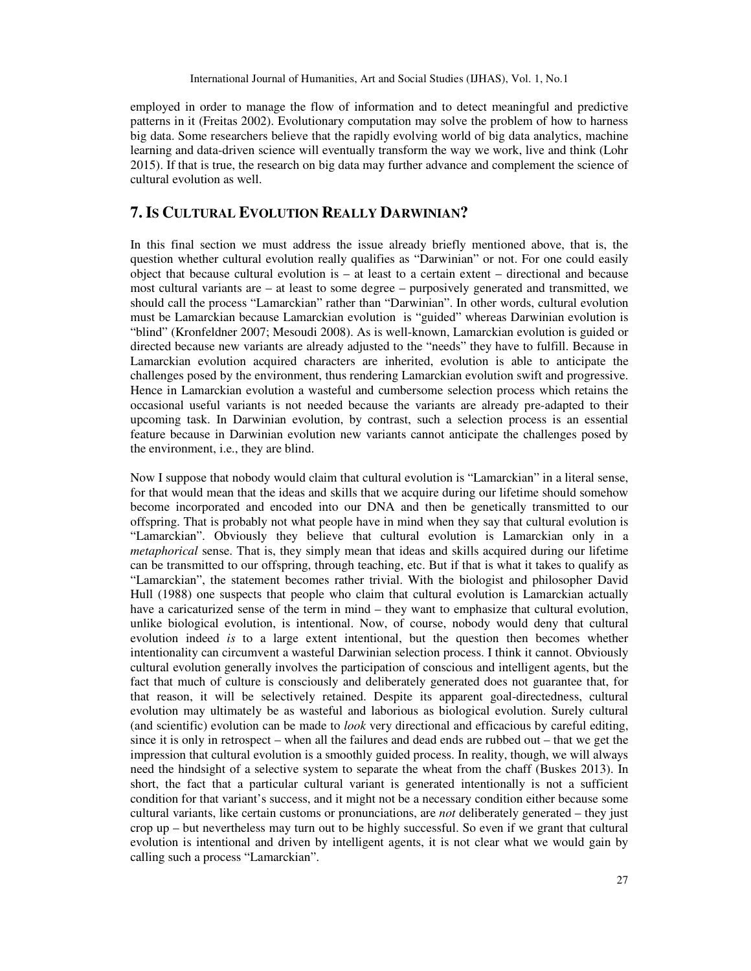employed in order to manage the flow of information and to detect meaningful and predictive patterns in it (Freitas 2002). Evolutionary computation may solve the problem of how to harness big data. Some researchers believe that the rapidly evolving world of big data analytics, machine learning and data-driven science will eventually transform the way we work, live and think (Lohr 2015). If that is true, the research on big data may further advance and complement the science of cultural evolution as well.

# **7. IS CULTURAL EVOLUTION REALLY DARWINIAN?**

In this final section we must address the issue already briefly mentioned above, that is, the question whether cultural evolution really qualifies as "Darwinian" or not. For one could easily object that because cultural evolution is – at least to a certain extent – directional and because most cultural variants are – at least to some degree – purposively generated and transmitted, we should call the process "Lamarckian" rather than "Darwinian". In other words, cultural evolution must be Lamarckian because Lamarckian evolution is "guided" whereas Darwinian evolution is "blind" (Kronfeldner 2007; Mesoudi 2008). As is well-known, Lamarckian evolution is guided or directed because new variants are already adjusted to the "needs" they have to fulfill. Because in Lamarckian evolution acquired characters are inherited, evolution is able to anticipate the challenges posed by the environment, thus rendering Lamarckian evolution swift and progressive. Hence in Lamarckian evolution a wasteful and cumbersome selection process which retains the occasional useful variants is not needed because the variants are already pre-adapted to their upcoming task. In Darwinian evolution, by contrast, such a selection process is an essential feature because in Darwinian evolution new variants cannot anticipate the challenges posed by the environment, i.e., they are blind.

Now I suppose that nobody would claim that cultural evolution is "Lamarckian" in a literal sense, for that would mean that the ideas and skills that we acquire during our lifetime should somehow become incorporated and encoded into our DNA and then be genetically transmitted to our offspring. That is probably not what people have in mind when they say that cultural evolution is "Lamarckian". Obviously they believe that cultural evolution is Lamarckian only in a *metaphorical* sense. That is, they simply mean that ideas and skills acquired during our lifetime can be transmitted to our offspring, through teaching, etc. But if that is what it takes to qualify as "Lamarckian", the statement becomes rather trivial. With the biologist and philosopher David Hull (1988) one suspects that people who claim that cultural evolution is Lamarckian actually have a caricaturized sense of the term in mind – they want to emphasize that cultural evolution, unlike biological evolution, is intentional. Now, of course, nobody would deny that cultural evolution indeed *is* to a large extent intentional, but the question then becomes whether intentionality can circumvent a wasteful Darwinian selection process. I think it cannot. Obviously cultural evolution generally involves the participation of conscious and intelligent agents, but the fact that much of culture is consciously and deliberately generated does not guarantee that, for that reason, it will be selectively retained. Despite its apparent goal-directedness, cultural evolution may ultimately be as wasteful and laborious as biological evolution. Surely cultural (and scientific) evolution can be made to *look* very directional and efficacious by careful editing, since it is only in retrospect – when all the failures and dead ends are rubbed out – that we get the impression that cultural evolution is a smoothly guided process. In reality, though, we will always need the hindsight of a selective system to separate the wheat from the chaff (Buskes 2013). In short, the fact that a particular cultural variant is generated intentionally is not a sufficient condition for that variant's success, and it might not be a necessary condition either because some cultural variants, like certain customs or pronunciations, are *not* deliberately generated – they just crop up – but nevertheless may turn out to be highly successful. So even if we grant that cultural evolution is intentional and driven by intelligent agents, it is not clear what we would gain by calling such a process "Lamarckian".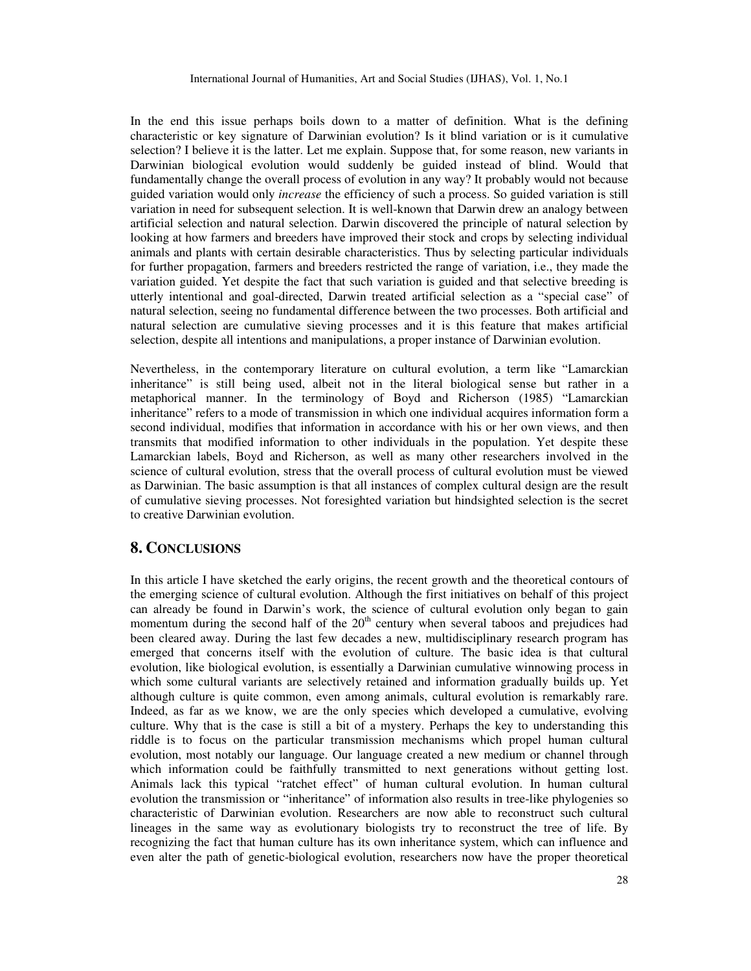In the end this issue perhaps boils down to a matter of definition. What is the defining characteristic or key signature of Darwinian evolution? Is it blind variation or is it cumulative selection? I believe it is the latter. Let me explain. Suppose that, for some reason, new variants in Darwinian biological evolution would suddenly be guided instead of blind. Would that fundamentally change the overall process of evolution in any way? It probably would not because guided variation would only *increase* the efficiency of such a process. So guided variation is still variation in need for subsequent selection. It is well-known that Darwin drew an analogy between artificial selection and natural selection. Darwin discovered the principle of natural selection by looking at how farmers and breeders have improved their stock and crops by selecting individual animals and plants with certain desirable characteristics. Thus by selecting particular individuals for further propagation, farmers and breeders restricted the range of variation, i.e., they made the variation guided. Yet despite the fact that such variation is guided and that selective breeding is utterly intentional and goal-directed, Darwin treated artificial selection as a "special case" of natural selection, seeing no fundamental difference between the two processes. Both artificial and natural selection are cumulative sieving processes and it is this feature that makes artificial selection, despite all intentions and manipulations, a proper instance of Darwinian evolution.

Nevertheless, in the contemporary literature on cultural evolution, a term like "Lamarckian inheritance" is still being used, albeit not in the literal biological sense but rather in a metaphorical manner. In the terminology of Boyd and Richerson (1985) "Lamarckian inheritance" refers to a mode of transmission in which one individual acquires information form a second individual, modifies that information in accordance with his or her own views, and then transmits that modified information to other individuals in the population. Yet despite these Lamarckian labels, Boyd and Richerson, as well as many other researchers involved in the science of cultural evolution, stress that the overall process of cultural evolution must be viewed as Darwinian. The basic assumption is that all instances of complex cultural design are the result of cumulative sieving processes. Not foresighted variation but hindsighted selection is the secret to creative Darwinian evolution.

## **8. CONCLUSIONS**

In this article I have sketched the early origins, the recent growth and the theoretical contours of the emerging science of cultural evolution. Although the first initiatives on behalf of this project can already be found in Darwin's work, the science of cultural evolution only began to gain momentum during the second half of the  $20<sup>th</sup>$  century when several taboos and prejudices had been cleared away. During the last few decades a new, multidisciplinary research program has emerged that concerns itself with the evolution of culture. The basic idea is that cultural evolution, like biological evolution, is essentially a Darwinian cumulative winnowing process in which some cultural variants are selectively retained and information gradually builds up. Yet although culture is quite common, even among animals, cultural evolution is remarkably rare. Indeed, as far as we know, we are the only species which developed a cumulative, evolving culture. Why that is the case is still a bit of a mystery. Perhaps the key to understanding this riddle is to focus on the particular transmission mechanisms which propel human cultural evolution, most notably our language. Our language created a new medium or channel through which information could be faithfully transmitted to next generations without getting lost. Animals lack this typical "ratchet effect" of human cultural evolution. In human cultural evolution the transmission or "inheritance" of information also results in tree-like phylogenies so characteristic of Darwinian evolution. Researchers are now able to reconstruct such cultural lineages in the same way as evolutionary biologists try to reconstruct the tree of life. By recognizing the fact that human culture has its own inheritance system, which can influence and even alter the path of genetic-biological evolution, researchers now have the proper theoretical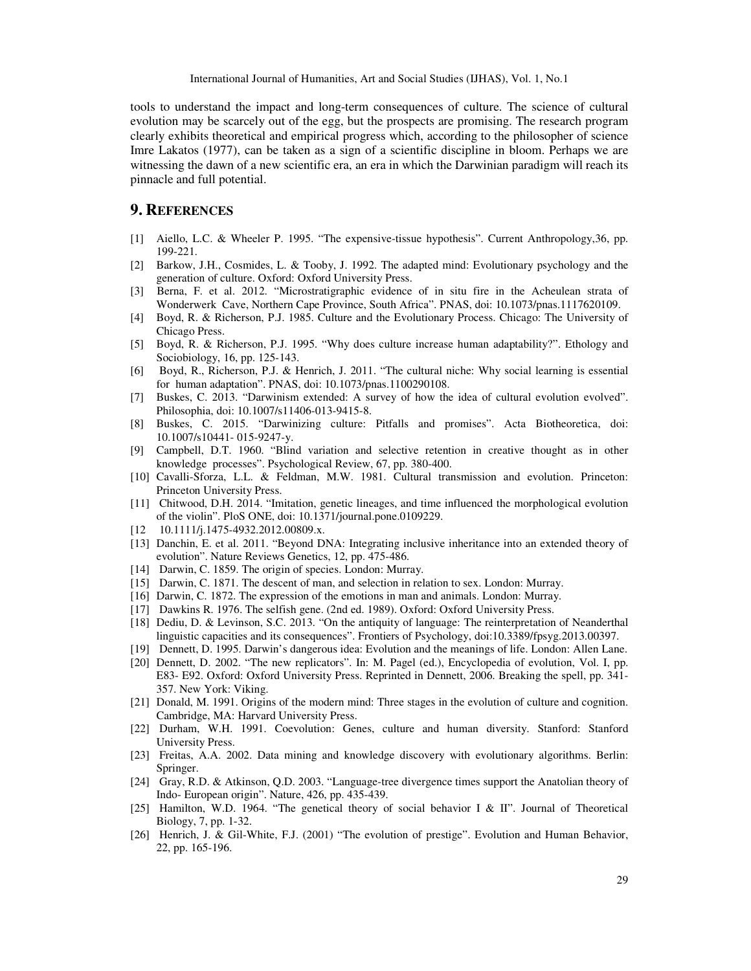International Journal of Humanities, Art and Social Studies (IJHAS), Vol. 1, No.1

tools to understand the impact and long-term consequences of culture. The science of cultural evolution may be scarcely out of the egg, but the prospects are promising. The research program clearly exhibits theoretical and empirical progress which, according to the philosopher of science Imre Lakatos (1977), can be taken as a sign of a scientific discipline in bloom. Perhaps we are witnessing the dawn of a new scientific era, an era in which the Darwinian paradigm will reach its pinnacle and full potential.

## **9. REFERENCES**

- [1] Aiello, L.C. & Wheeler P. 1995. "The expensive-tissue hypothesis". Current Anthropology,36, pp. 199-221.
- [2] Barkow, J.H., Cosmides, L. & Tooby, J. 1992. The adapted mind: Evolutionary psychology and the generation of culture. Oxford: Oxford University Press.
- [3] Berna, F. et al. 2012. "Microstratigraphic evidence of in situ fire in the Acheulean strata of Wonderwerk Cave, Northern Cape Province, South Africa". PNAS, doi: 10.1073/pnas.1117620109.
- [4] Boyd, R. & Richerson, P.J. 1985. Culture and the Evolutionary Process. Chicago: The University of Chicago Press.
- [5] Boyd, R. & Richerson, P.J. 1995. "Why does culture increase human adaptability?". Ethology and Sociobiology, 16, pp. 125-143.
- [6] Boyd, R., Richerson, P.J. & Henrich, J. 2011. "The cultural niche: Why social learning is essential for human adaptation". PNAS, doi: 10.1073/pnas.1100290108.
- [7] Buskes, C. 2013. "Darwinism extended: A survey of how the idea of cultural evolution evolved". Philosophia, doi: 10.1007/s11406-013-9415-8.
- [8] Buskes, C. 2015. "Darwinizing culture: Pitfalls and promises". Acta Biotheoretica, doi: 10.1007/s10441- 015-9247-y.
- [9] Campbell, D.T. 1960. "Blind variation and selective retention in creative thought as in other knowledge processes". Psychological Review, 67, pp. 380-400.
- [10] Cavalli-Sforza, L.L. & Feldman, M.W. 1981. Cultural transmission and evolution. Princeton: Princeton University Press.
- [11] Chitwood, D.H. 2014. "Imitation, genetic lineages, and time influenced the morphological evolution of the violin". PloS ONE, doi: 10.1371/journal.pone.0109229.
- [12 10.1111/j.1475-4932.2012.00809.x.
- [13] Danchin, E. et al. 2011. "Beyond DNA: Integrating inclusive inheritance into an extended theory of evolution". Nature Reviews Genetics, 12, pp. 475-486.
- [14] Darwin, C. 1859. The origin of species. London: Murray.
- [15] Darwin, C. 1871. The descent of man, and selection in relation to sex. London: Murray.
- [16] Darwin, C. 1872. The expression of the emotions in man and animals. London: Murray.
- [17] Dawkins R. 1976. The selfish gene. (2nd ed. 1989). Oxford: Oxford University Press.
- [18] Dediu, D. & Levinson, S.C. 2013. "On the antiquity of language: The reinterpretation of Neanderthal linguistic capacities and its consequences". Frontiers of Psychology, doi:10.3389/fpsyg.2013.00397.
- [19] Dennett, D. 1995. Darwin's dangerous idea: Evolution and the meanings of life. London: Allen Lane.
- [20] Dennett, D. 2002. "The new replicators". In: M. Pagel (ed.), Encyclopedia of evolution, Vol. I, pp. E83- E92. Oxford: Oxford University Press. Reprinted in Dennett, 2006. Breaking the spell, pp. 341- 357. New York: Viking.
- [21] Donald, M. 1991. Origins of the modern mind: Three stages in the evolution of culture and cognition. Cambridge, MA: Harvard University Press.
- [22] Durham, W.H. 1991. Coevolution: Genes, culture and human diversity. Stanford: Stanford University Press.
- [23] Freitas, A.A. 2002. Data mining and knowledge discovery with evolutionary algorithms. Berlin: Springer.
- [24] Gray, R.D. & Atkinson, Q.D. 2003. "Language-tree divergence times support the Anatolian theory of Indo- European origin". Nature, 426, pp. 435-439.
- [25] Hamilton, W.D. 1964. "The genetical theory of social behavior I & II". Journal of Theoretical Biology, 7, pp. 1-32.
- [26] Henrich, J. & Gil-White, F.J. (2001) "The evolution of prestige". Evolution and Human Behavior, 22, pp. 165-196.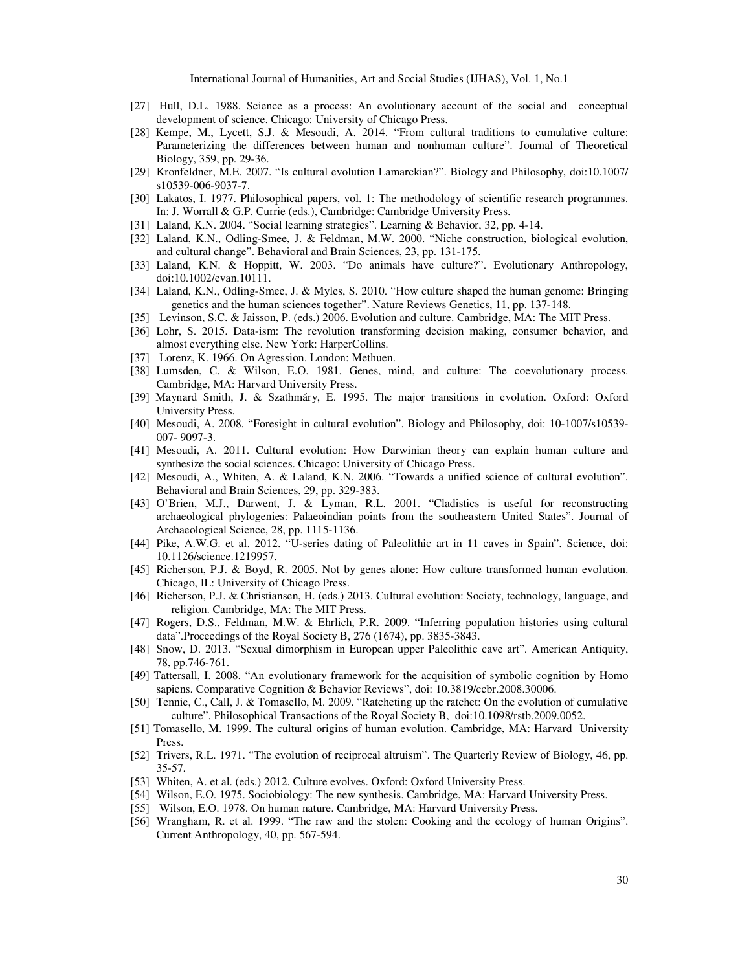International Journal of Humanities, Art and Social Studies (IJHAS), Vol. 1, No.1

- [27] Hull, D.L. 1988. Science as a process: An evolutionary account of the social and conceptual development of science. Chicago: University of Chicago Press.
- [28] Kempe, M., Lycett, S.J. & Mesoudi, A. 2014. "From cultural traditions to cumulative culture: Parameterizing the differences between human and nonhuman culture". Journal of Theoretical Biology, 359, pp. 29-36.
- [29] Kronfeldner, M.E. 2007. "Is cultural evolution Lamarckian?". Biology and Philosophy, doi:10.1007/ s10539-006-9037-7.
- [30] Lakatos, I. 1977. Philosophical papers, vol. 1: The methodology of scientific research programmes. In: J. Worrall & G.P. Currie (eds.), Cambridge: Cambridge University Press.
- [31] Laland, K.N. 2004. "Social learning strategies". Learning & Behavior, 32, pp. 4-14.
- [32] Laland, K.N., Odling-Smee, J. & Feldman, M.W. 2000. "Niche construction, biological evolution, and cultural change". Behavioral and Brain Sciences, 23, pp. 131-175.
- [33] Laland, K.N. & Hoppitt, W. 2003. "Do animals have culture?". Evolutionary Anthropology, doi:10.1002/evan.10111.
- [34] Laland, K.N., Odling-Smee, J. & Myles, S. 2010. "How culture shaped the human genome: Bringing genetics and the human sciences together". Nature Reviews Genetics, 11, pp. 137-148.
- [35] Levinson, S.C. & Jaisson, P. (eds.) 2006. Evolution and culture. Cambridge, MA: The MIT Press.
- [36] Lohr, S. 2015. Data-ism: The revolution transforming decision making, consumer behavior, and almost everything else. New York: HarperCollins.
- [37] Lorenz, K. 1966. On Agression. London: Methuen.
- [38] Lumsden, C. & Wilson, E.O. 1981. Genes, mind, and culture: The coevolutionary process. Cambridge, MA: Harvard University Press.
- [39] Maynard Smith, J. & Szathmáry, E. 1995. The major transitions in evolution. Oxford: Oxford University Press.
- [40] Mesoudi, A. 2008. "Foresight in cultural evolution". Biology and Philosophy, doi: 10-1007/s10539- 007- 9097-3.
- [41] Mesoudi, A. 2011. Cultural evolution: How Darwinian theory can explain human culture and synthesize the social sciences. Chicago: University of Chicago Press.
- [42] Mesoudi, A., Whiten, A. & Laland, K.N. 2006. "Towards a unified science of cultural evolution". Behavioral and Brain Sciences, 29, pp. 329-383.
- [43] O'Brien, M.J., Darwent, J. & Lyman, R.L. 2001. "Cladistics is useful for reconstructing archaeological phylogenies: Palaeoindian points from the southeastern United States". Journal of Archaeological Science, 28, pp. 1115-1136.
- [44] Pike, A.W.G. et al. 2012. "U-series dating of Paleolithic art in 11 caves in Spain". Science, doi: 10.1126/science.1219957.
- [45] Richerson, P.J. & Boyd, R. 2005. Not by genes alone: How culture transformed human evolution. Chicago, IL: University of Chicago Press.
- [46] Richerson, P.J. & Christiansen, H. (eds.) 2013. Cultural evolution: Society, technology, language, and religion. Cambridge, MA: The MIT Press.
- [47] Rogers, D.S., Feldman, M.W. & Ehrlich, P.R. 2009. "Inferring population histories using cultural data".Proceedings of the Royal Society B, 276 (1674), pp. 3835-3843.
- [48] Snow, D. 2013. "Sexual dimorphism in European upper Paleolithic cave art". American Antiquity, 78, pp.746-761.
- [49] Tattersall, I. 2008. "An evolutionary framework for the acquisition of symbolic cognition by Homo sapiens. Comparative Cognition & Behavior Reviews", doi: 10.3819/ccbr.2008.30006.
- [50] Tennie, C., Call, J. & Tomasello, M. 2009. "Ratcheting up the ratchet: On the evolution of cumulative culture". Philosophical Transactions of the Royal Society B, doi:10.1098/rstb.2009.0052.
- [51] Tomasello, M. 1999. The cultural origins of human evolution. Cambridge, MA: Harvard University Press.
- [52] Trivers, R.L. 1971. "The evolution of reciprocal altruism". The Quarterly Review of Biology, 46, pp. 35-57.
- [53] Whiten, A. et al. (eds.) 2012. Culture evolves. Oxford: Oxford University Press.
- [54] Wilson, E.O. 1975. Sociobiology: The new synthesis. Cambridge, MA: Harvard University Press.
- [55] Wilson, E.O. 1978. On human nature. Cambridge, MA: Harvard University Press.
- [56] Wrangham, R. et al. 1999. "The raw and the stolen: Cooking and the ecology of human Origins". Current Anthropology, 40, pp. 567-594.